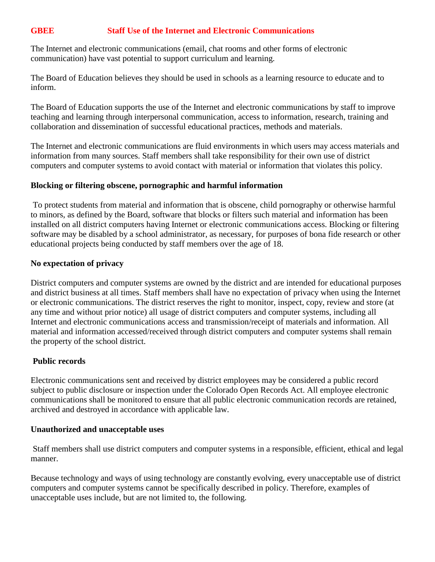# **GBEE Staff Use of the Internet and Electronic Communications**

The Internet and electronic communications (email, chat rooms and other forms of electronic communication) have vast potential to support curriculum and learning.

The Board of Education believes they should be used in schools as a learning resource to educate and to inform.

The Board of Education supports the use of the Internet and electronic communications by staff to improve teaching and learning through interpersonal communication, access to information, research, training and collaboration and dissemination of successful educational practices, methods and materials.

The Internet and electronic communications are fluid environments in which users may access materials and information from many sources. Staff members shall take responsibility for their own use of district computers and computer systems to avoid contact with material or information that violates this policy.

## **Blocking or filtering obscene, pornographic and harmful information**

To protect students from material and information that is obscene, child pornography or otherwise harmful to minors, as defined by the Board, software that blocks or filters such material and information has been installed on all district computers having Internet or electronic communications access. Blocking or filtering software may be disabled by a school administrator, as necessary, for purposes of bona fide research or other educational projects being conducted by staff members over the age of 18.

## **No expectation of privacy**

District computers and computer systems are owned by the district and are intended for educational purposes and district business at all times. Staff members shall have no expectation of privacy when using the Internet or electronic communications. The district reserves the right to monitor, inspect, copy, review and store (at any time and without prior notice) all usage of district computers and computer systems, including all Internet and electronic communications access and transmission/receipt of materials and information. All material and information accessed/received through district computers and computer systems shall remain the property of the school district.

## **Public records**

Electronic communications sent and received by district employees may be considered a public record subject to public disclosure or inspection under the Colorado Open Records Act. All employee electronic communications shall be monitored to ensure that all public electronic communication records are retained, archived and destroyed in accordance with applicable law.

## **Unauthorized and unacceptable uses**

Staff members shall use district computers and computer systems in a responsible, efficient, ethical and legal manner.

Because technology and ways of using technology are constantly evolving, every unacceptable use of district computers and computer systems cannot be specifically described in policy. Therefore, examples of unacceptable uses include, but are not limited to, the following.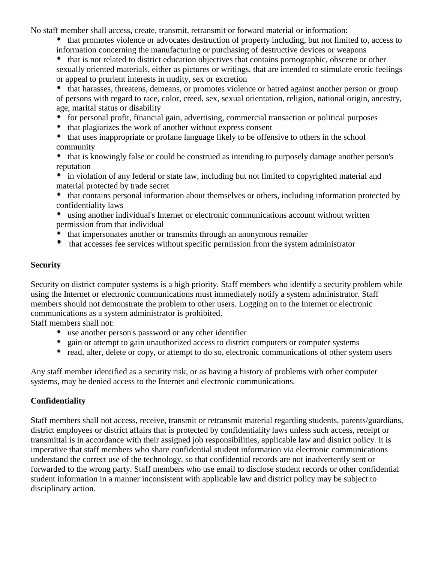No staff member shall access, create, transmit, retransmit or forward material or information:

 that promotes violence or advocates destruction of property including, but not limited to, access to information concerning the manufacturing or purchasing of destructive devices or weapons

 that is not related to district education objectives that contains pornographic, obscene or other sexually oriented materials, either as pictures or writings, that are intended to stimulate erotic feelings or appeal to prurient interests in nudity, sex or excretion

 that harasses, threatens, demeans, or promotes violence or hatred against another person or group of persons with regard to race, color, creed, sex, sexual orientation, religion, national origin, ancestry, age, marital status or disability

- for personal profit, financial gain, advertising, commercial transaction or political purposes
- that plagiarizes the work of another without express consent
- that uses inappropriate or profane language likely to be offensive to others in the school community
- that is knowingly false or could be construed as intending to purposely damage another person's reputation

 in violation of any federal or state law, including but not limited to copyrighted material and material protected by trade secret

 that contains personal information about themselves or others, including information protected by confidentiality laws

- using another individual's Internet or electronic communications account without written permission from that individual
- that impersonates another or transmits through an anonymous remailer
- that accesses fee services without specific permission from the system administrator

## **Security**

Security on district computer systems is a high priority. Staff members who identify a security problem while using the Internet or electronic communications must immediately notify a system administrator. Staff members should not demonstrate the problem to other users. Logging on to the Internet or electronic communications as a system administrator is prohibited.

Staff members shall not:

- use another person's password or any other identifier
- <sup>•</sup> gain or attempt to gain unauthorized access to district computers or computer systems
- read, alter, delete or copy, or attempt to do so, electronic communications of other system users

Any staff member identified as a security risk, or as having a history of problems with other computer systems, may be denied access to the Internet and electronic communications.

# **Confidentiality**

Staff members shall not access, receive, transmit or retransmit material regarding students, parents/guardians, district employees or district affairs that is protected by confidentiality laws unless such access, receipt or transmittal is in accordance with their assigned job responsibilities, applicable law and district policy. It is imperative that staff members who share confidential student information via electronic communications understand the correct use of the technology, so that confidential records are not inadvertently sent or forwarded to the wrong party. Staff members who use email to disclose student records or other confidential student information in a manner inconsistent with applicable law and district policy may be subject to disciplinary action.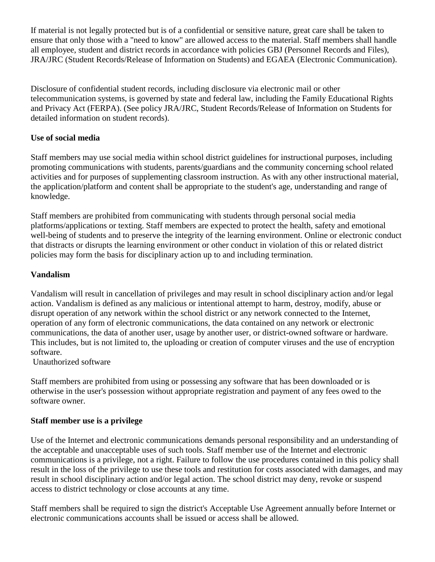If material is not legally protected but is of a confidential or sensitive nature, great care shall be taken to ensure that only those with a "need to know" are allowed access to the material. Staff members shall handle all employee, student and district records in accordance with policies GBJ (Personnel Records and Files), JRA/JRC (Student Records/Release of Information on Students) and EGAEA (Electronic Communication).

Disclosure of confidential student records, including disclosure via electronic mail or other telecommunication systems, is governed by state and federal law, including the Family Educational Rights and Privacy Act (FERPA). (See policy JRA/JRC, Student Records/Release of Information on Students for detailed information on student records).

### **Use of social media**

Staff members may use social media within school district guidelines for instructional purposes, including promoting communications with students, parents/guardians and the community concerning school related activities and for purposes of supplementing classroom instruction. As with any other instructional material, the application/platform and content shall be appropriate to the student's age, understanding and range of knowledge.

Staff members are prohibited from communicating with students through personal social media platforms/applications or texting. Staff members are expected to protect the health, safety and emotional well-being of students and to preserve the integrity of the learning environment. Online or electronic conduct that distracts or disrupts the learning environment or other conduct in violation of this or related district policies may form the basis for disciplinary action up to and including termination.

### **Vandalism**

Vandalism will result in cancellation of privileges and may result in school disciplinary action and/or legal action. Vandalism is defined as any malicious or intentional attempt to harm, destroy, modify, abuse or disrupt operation of any network within the school district or any network connected to the Internet, operation of any form of electronic communications, the data contained on any network or electronic communications, the data of another user, usage by another user, or district-owned software or hardware. This includes, but is not limited to, the uploading or creation of computer viruses and the use of encryption software.

Unauthorized software

Staff members are prohibited from using or possessing any software that has been downloaded or is otherwise in the user's possession without appropriate registration and payment of any fees owed to the software owner.

#### **Staff member use is a privilege**

Use of the Internet and electronic communications demands personal responsibility and an understanding of the acceptable and unacceptable uses of such tools. Staff member use of the Internet and electronic communications is a privilege, not a right. Failure to follow the use procedures contained in this policy shall result in the loss of the privilege to use these tools and restitution for costs associated with damages, and may result in school disciplinary action and/or legal action. The school district may deny, revoke or suspend access to district technology or close accounts at any time.

Staff members shall be required to sign the district's Acceptable Use Agreement annually before Internet or electronic communications accounts shall be issued or access shall be allowed.